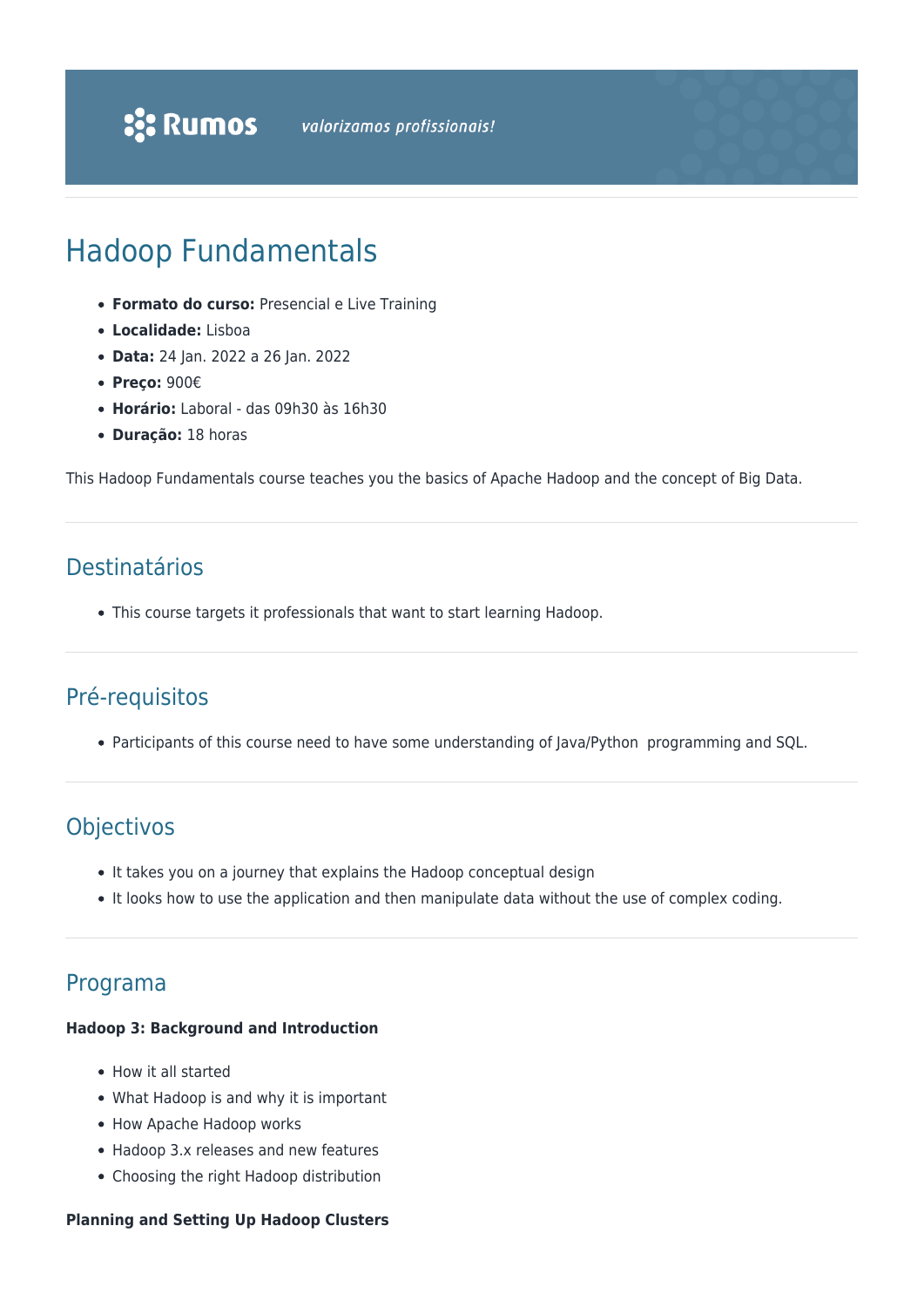# Hadoop Fundamentals

- **Formato do curso:** Presencial e Live Training
- **Localidade:** Lisboa
- **Data:** 24 Jan. 2022 a 26 Jan. 2022
- **Preço:** 900€
- **Horário:** Laboral das 09h30 às 16h30
- **Duração:** 18 horas

This Hadoop Fundamentals course teaches you the basics of Apache Hadoop and the concept of Big Data.

## Destinatários

This course targets it professionals that want to start learning Hadoop.

### Pré-requisitos

Participants of this course need to have some understanding of Java/Python programming and SQL.

### Objectivos

- It takes you on a journey that explains the Hadoop conceptual design
- It looks how to use the application and then manipulate data without the use of complex coding.

### Programa

#### **Hadoop 3: Background and Introduction**

- How it all started
- What Hadoop is and why it is important
- How Apache Hadoop works
- Hadoop 3.x releases and new features
- Choosing the right Hadoop distribution

#### **Planning and Setting Up Hadoop Clusters**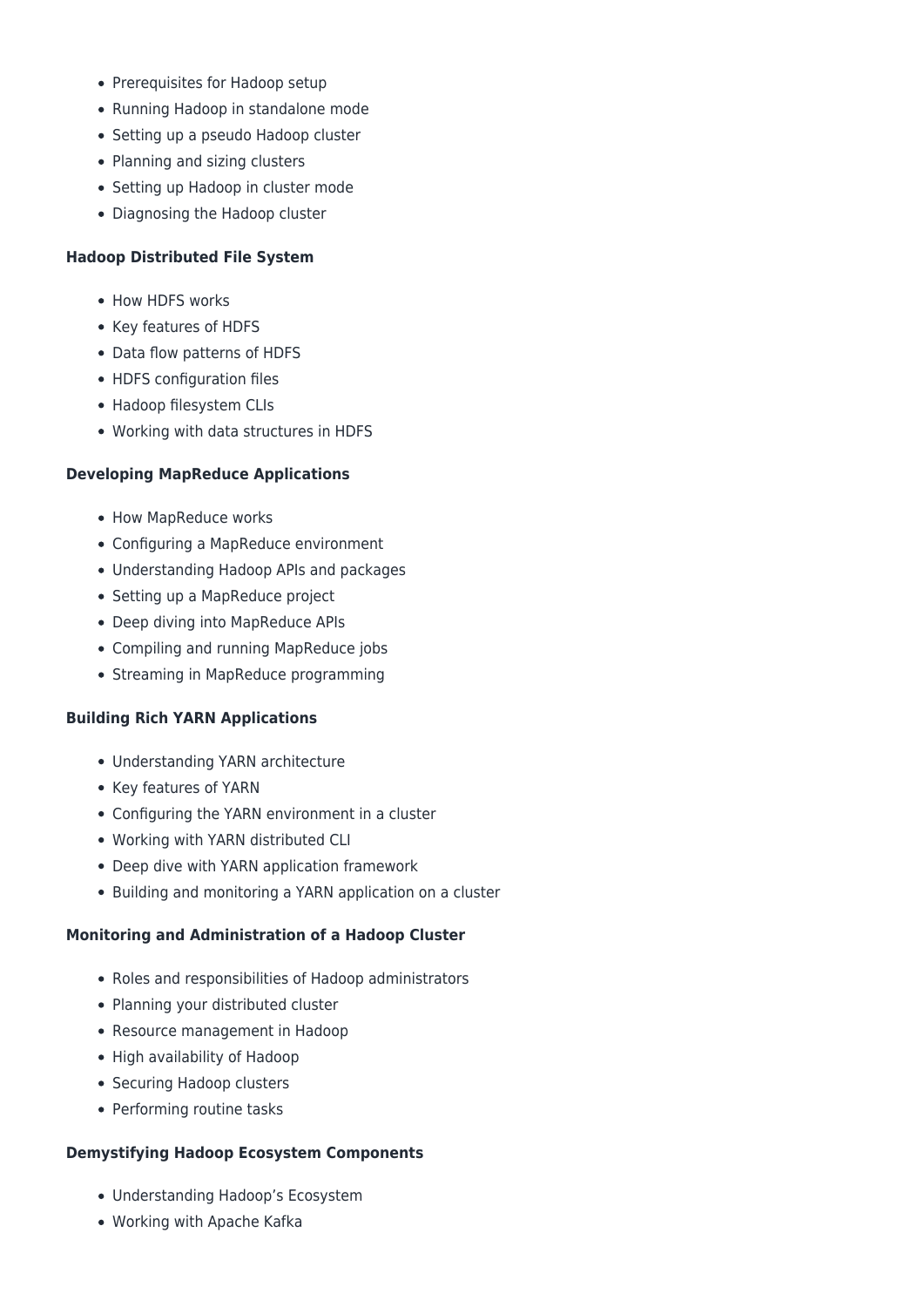- Prerequisites for Hadoop setup
- Running Hadoop in standalone mode
- Setting up a pseudo Hadoop cluster
- Planning and sizing clusters
- Setting up Hadoop in cluster mode
- Diagnosing the Hadoop cluster

#### **Hadoop Distributed File System**

- How HDFS works
- Key features of HDFS
- Data flow patterns of HDFS
- HDFS configuration files
- Hadoop filesystem CLIs
- Working with data structures in HDFS

#### **Developing MapReduce Applications**

- How MapReduce works
- Configuring a MapReduce environment
- Understanding Hadoop APIs and packages
- Setting up a MapReduce project
- Deep diving into MapReduce APIs
- Compiling and running MapReduce jobs
- Streaming in MapReduce programming

#### **Building Rich YARN Applications**

- Understanding YARN architecture
- Key features of YARN
- Configuring the YARN environment in a cluster
- Working with YARN distributed CLI
- Deep dive with YARN application framework
- Building and monitoring a YARN application on a cluster

#### **Monitoring and Administration of a Hadoop Cluster**

- Roles and responsibilities of Hadoop administrators
- Planning your distributed cluster
- Resource management in Hadoop
- High availability of Hadoop
- Securing Hadoop clusters
- Performing routine tasks

#### **Demystifying Hadoop Ecosystem Components**

- Understanding Hadoop's Ecosystem
- Working with Apache Kafka